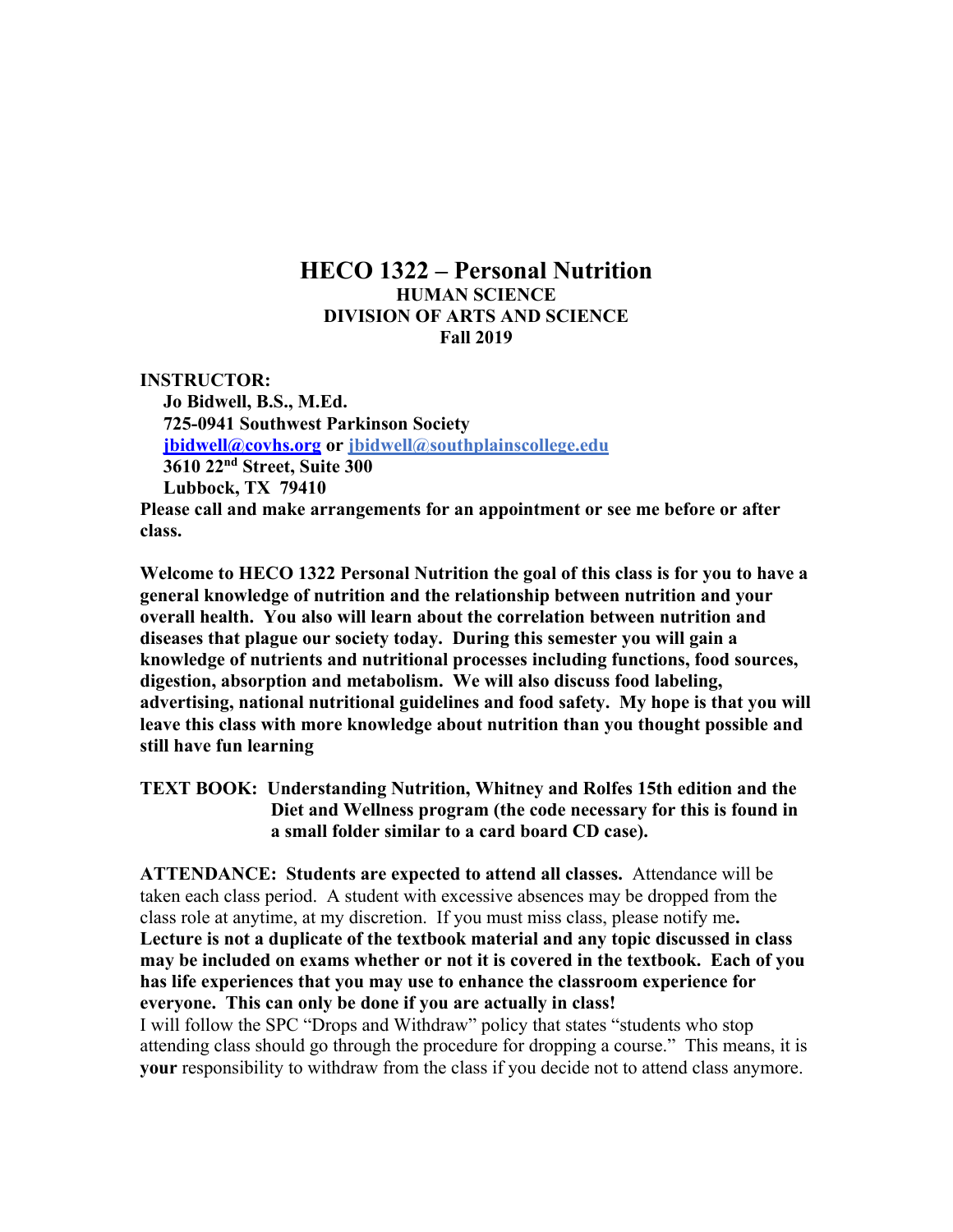# **HECO 1322 – Personal Nutrition HUMAN SCIENCE DIVISION OF ARTS AND SCIENCE Fall 2019**

**INSTRUCTOR: Jo Bidwell, B.S., M.Ed. 725-0941 Southwest Parkinson Society jbidwell@covhs.org or jbidwell@southplainscollege.edu 3610 22nd Street, Suite 300 Lubbock, TX 79410**

**Please call and make arrangements for an appointment or see me before or after class.**

**Welcome to HECO 1322 Personal Nutrition the goal of this class is for you to have a general knowledge of nutrition and the relationship between nutrition and your overall health. You also will learn about the correlation between nutrition and diseases that plague our society today. During this semester you will gain a knowledge of nutrients and nutritional processes including functions, food sources, digestion, absorption and metabolism. We will also discuss food labeling, advertising, national nutritional guidelines and food safety. My hope is that you will leave this class with more knowledge about nutrition than you thought possible and still have fun learning**

**TEXT BOOK: Understanding Nutrition, Whitney and Rolfes 15th edition and the Diet and Wellness program (the code necessary for this is found in a small folder similar to a card board CD case).** 

**ATTENDANCE: Students are expected to attend all classes.** Attendance will be taken each class period. A student with excessive absences may be dropped from the class role at anytime, at my discretion. If you must miss class, please notify me**. Lecture is not a duplicate of the textbook material and any topic discussed in class may be included on exams whether or not it is covered in the textbook. Each of you has life experiences that you may use to enhance the classroom experience for everyone. This can only be done if you are actually in class!**

I will follow the SPC "Drops and Withdraw" policy that states "students who stop attending class should go through the procedure for dropping a course." This means, it is **your** responsibility to withdraw from the class if you decide not to attend class anymore.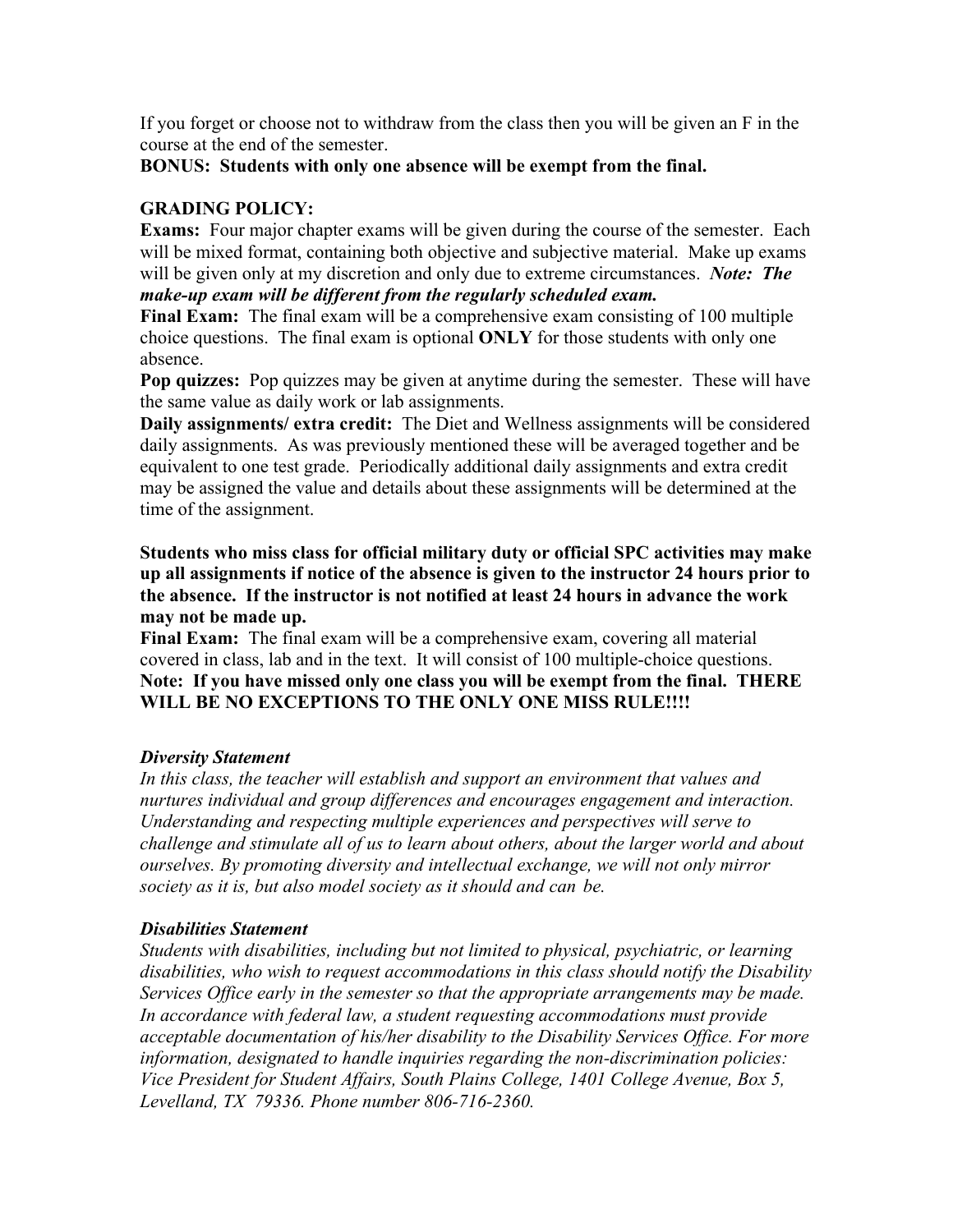If you forget or choose not to withdraw from the class then you will be given an F in the course at the end of the semester.

### **BONUS: Students with only one absence will be exempt from the final.**

# **GRADING POLICY:**

**Exams:** Four major chapter exams will be given during the course of the semester. Each will be mixed format, containing both objective and subjective material. Make up exams will be given only at my discretion and only due to extreme circumstances. *Note: The make-up exam will be different from the regularly scheduled exam.*

**Final Exam:** The final exam will be a comprehensive exam consisting of 100 multiple choice questions. The final exam is optional **ONLY** for those students with only one absence.

**Pop quizzes:** Pop quizzes may be given at anytime during the semester. These will have the same value as daily work or lab assignments.

**Daily assignments/ extra credit:** The Diet and Wellness assignments will be considered daily assignments. As was previously mentioned these will be averaged together and be equivalent to one test grade. Periodically additional daily assignments and extra credit may be assigned the value and details about these assignments will be determined at the time of the assignment.

**Students who miss class for official military duty or official SPC activities may make up all assignments if notice of the absence is given to the instructor 24 hours prior to the absence. If the instructor is not notified at least 24 hours in advance the work may not be made up.**

**Final Exam:** The final exam will be a comprehensive exam, covering all material covered in class, lab and in the text. It will consist of 100 multiple-choice questions. **Note: If you have missed only one class you will be exempt from the final. THERE WILL BE NO EXCEPTIONS TO THE ONLY ONE MISS RULE!!!!**

# *Diversity Statement*

*In this class, the teacher will establish and support an environment that values and nurtures individual and group differences and encourages engagement and interaction. Understanding and respecting multiple experiences and perspectives will serve to challenge and stimulate all of us to learn about others, about the larger world and about ourselves. By promoting diversity and intellectual exchange, we will not only mirror society as it is, but also model society as it should and can be.*

# *Disabilities Statement*

*Students with disabilities, including but not limited to physical, psychiatric, or learning disabilities, who wish to request accommodations in this class should notify the Disability Services Office early in the semester so that the appropriate arrangements may be made. In accordance with federal law, a student requesting accommodations must provide acceptable documentation of his/her disability to the Disability Services Office. For more information, designated to handle inquiries regarding the non-discrimination policies: Vice President for Student Affairs, South Plains College, 1401 College Avenue, Box 5, Levelland, TX 79336. Phone number 806-716-2360.*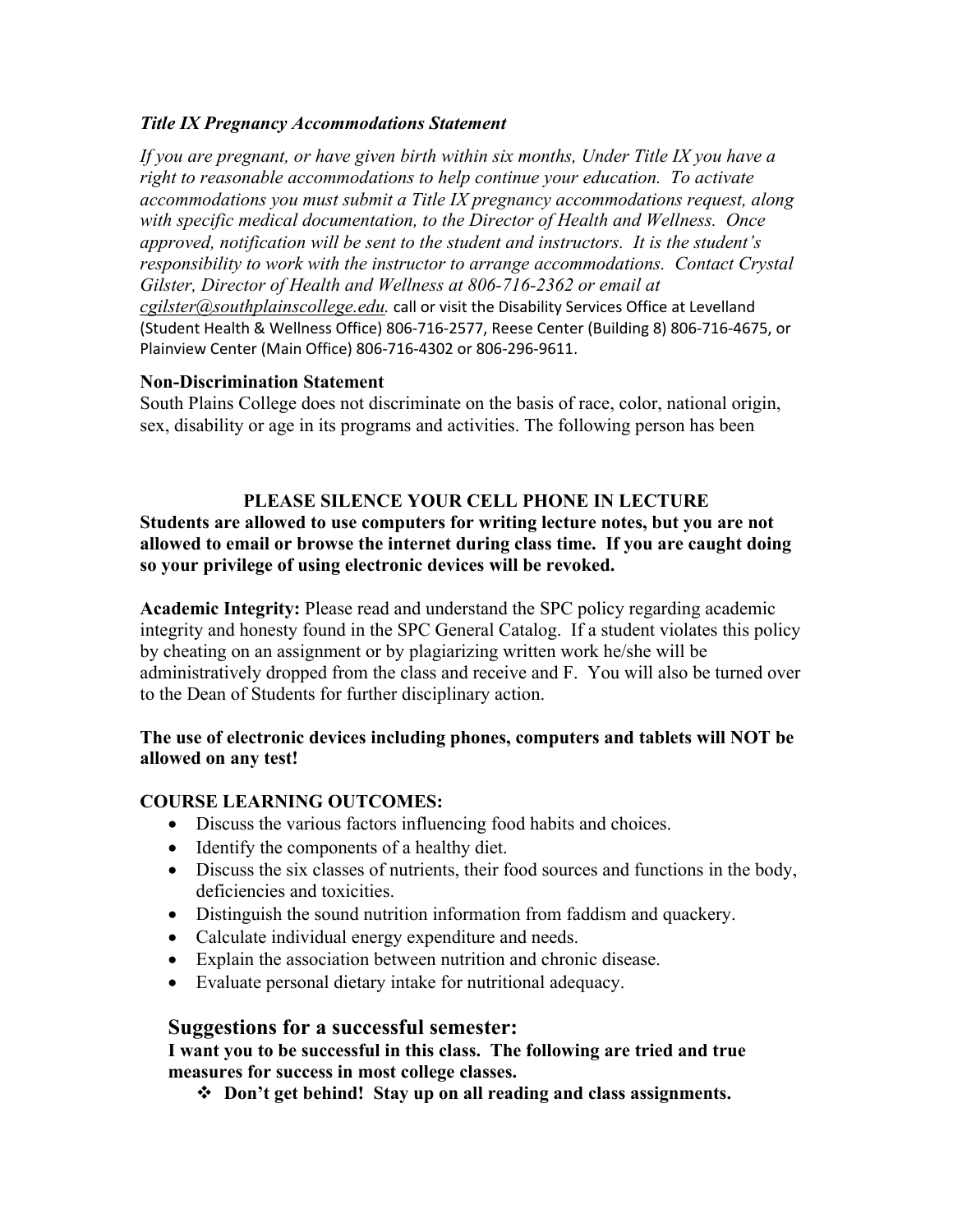### *Title IX Pregnancy Accommodations Statement*

*If you are pregnant, or have given birth within six months, Under Title IX you have a right to reasonable accommodations to help continue your education. To activate accommodations you must submit a Title IX pregnancy accommodations request, along with specific medical documentation, to the Director of Health and Wellness. Once approved, notification will be sent to the student and instructors. It is the student's responsibility to work with the instructor to arrange accommodations. Contact Crystal Gilster, Director of Health and Wellness at 806-716-2362 or email at cgilster@southplainscollege.edu.* call or visit the Disability Services Office at Levelland (Student Health & Wellness Office) 806-716-2577, Reese Center (Building 8) 806-716-4675, or Plainview Center (Main Office) 806-716-4302 or 806-296-9611.

### **Non-Discrimination Statement**

South Plains College does not discriminate on the basis of race, color, national origin, sex, disability or age in its programs and activities. The following person has been

### **PLEASE SILENCE YOUR CELL PHONE IN LECTURE**

**Students are allowed to use computers for writing lecture notes, but you are not allowed to email or browse the internet during class time. If you are caught doing so your privilege of using electronic devices will be revoked.**

**Academic Integrity:** Please read and understand the SPC policy regarding academic integrity and honesty found in the SPC General Catalog. If a student violates this policy by cheating on an assignment or by plagiarizing written work he/she will be administratively dropped from the class and receive and F. You will also be turned over to the Dean of Students for further disciplinary action.

### **The use of electronic devices including phones, computers and tablets will NOT be allowed on any test!**

# **COURSE LEARNING OUTCOMES:**

- Discuss the various factors influencing food habits and choices.
- Identify the components of a healthy diet.
- Discuss the six classes of nutrients, their food sources and functions in the body, deficiencies and toxicities.
- Distinguish the sound nutrition information from faddism and quackery.
- Calculate individual energy expenditure and needs.
- Explain the association between nutrition and chronic disease.
- Evaluate personal dietary intake for nutritional adequacy.

# **Suggestions for a successful semester:**

**I want you to be successful in this class. The following are tried and true measures for success in most college classes.**

v **Don't get behind! Stay up on all reading and class assignments.**